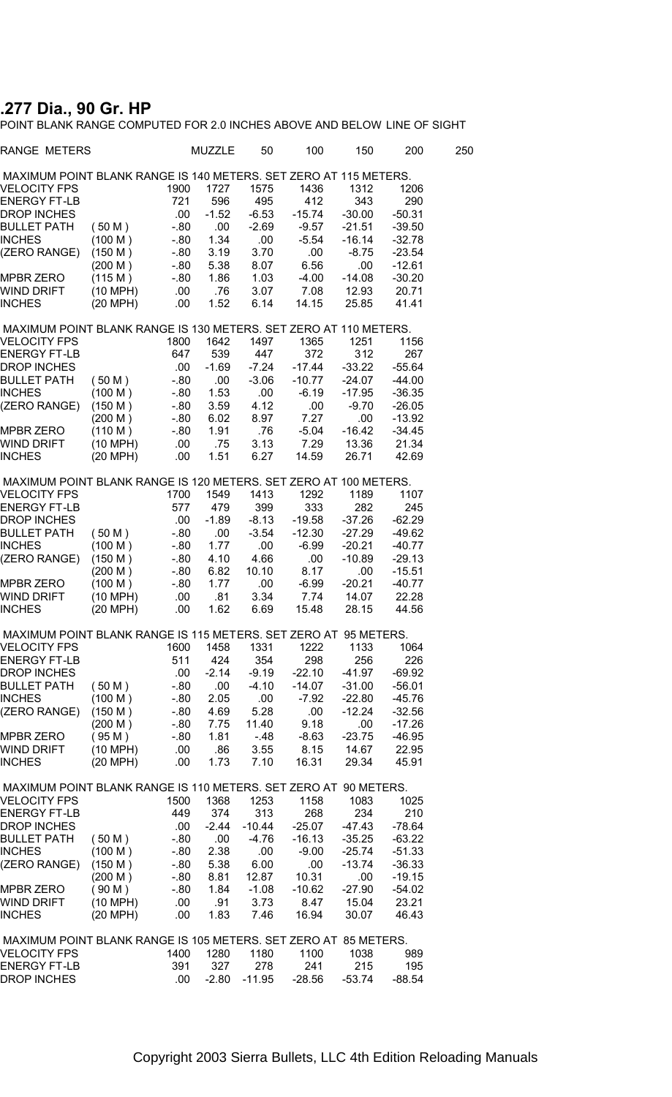## **.277 Dia., 90 Gr. HP**

POINT BLANK RANGE COMPUTED FOR 2.0 INCHES ABOVE AND BELOW LINE OF SIGHT

| RANGE METERS                                                     |          |         | MUZZLE  | 50       | 100      | 150      | 200      | 250 |
|------------------------------------------------------------------|----------|---------|---------|----------|----------|----------|----------|-----|
| MAXIMUM POINT BLANK RANGE IS 140 METERS. SET ZERO AT 115 METERS. |          |         |         |          |          |          |          |     |
| VELOCITY FPS                                                     |          | 1900    | 1727    | 1575     | 1436     | 1312     | 1206     |     |
| ENERGY FT-LB                                                     |          | 721     | 596     | 495      | 412      | 343      | 290      |     |
| DROP INCHES                                                      |          | .00     | $-1.52$ | $-6.53$  | $-15.74$ | $-30.00$ | $-50.31$ |     |
| BULLET PATH                                                      | (50 M)   | $-80$   | .00     | $-2.69$  | $-9.57$  | $-21.51$ | $-39.50$ |     |
| INCHES                                                           | (100 M)  | $-0.80$ | 1.34    | .00.     | -5.54    | $-16.14$ | $-32.78$ |     |
| (ZERO RANGE)                                                     | (150 M)  | $-80$   | 3.19    | 3.70     | .00      | $-8.75$  | $-23.54$ |     |
|                                                                  | (200 M)  | - 80    | 5.38    | 8.07     | 6.56     | .00      | $-12.61$ |     |
| MPBR ZERO                                                        | (115 M)  | $-80$   | 1.86    | 1.03     | -4.00    | $-14.08$ | $-30.20$ |     |
| WIND DRIFT                                                       | (10 MPH) | .00.    | .76     | 3.07     | 7.08     | 12.93    | 20.71    |     |
| INCHES                                                           | (20 MPH) | .00     | 1.52    | 6.14     | 14.15    | 25.85    | 41.41    |     |
| MAXIMUM POINT BLANK RANGE IS 130 METERS. SET ZERO AT 110 METERS. |          |         |         |          |          |          |          |     |
| VELOCITY FPS                                                     |          | 1800    | 1642    | 1497     | 1365     | 1251     | 1156     |     |
| ENERGY FT-LB                                                     |          | 647     | 539     | 447      | 372      | 312      | 267      |     |
| DROP INCHES                                                      |          | .00.    | $-1.69$ | $-7.24$  | $-17.44$ | $-33.22$ | $-55.64$ |     |
| BULLET PATH                                                      | (50 M)   | - 80    | .00     | $-3.06$  | $-10.77$ | $-24.07$ | $-44.00$ |     |
| INCHES                                                           | (100 M)  | $-80$   | 1.53    | .00.     | $-6.19$  | $-17.95$ | $-36.35$ |     |
| (ZERO RANGE)                                                     | (150 M)  | - 80    | 3.59    | 4.12     | .00      | $-9.70$  | $-26.05$ |     |
|                                                                  | (200 M)  | $-80$   | 6.02    | 8.97     | 7.27     | .00      | $-13.92$ |     |
| MPBR ZERO                                                        | (110 M)  | - 80    | 1.91    | .76      | -5.04    | $-16.42$ | $-34.45$ |     |
| WIND DRIFT                                                       | (10 MPH) | .00.    | .75     | 3.13     | 7.29     | 13.36    | 21.34    |     |
| INCHES                                                           | (20 MPH) | .00.    | 1.51    | 6.27     | 14.59    | 26.71    | 42.69    |     |
| MAXIMUM POINT BLANK RANGE IS 120 METERS. SET ZERO AT 100 METERS. |          |         |         |          |          |          |          |     |
| <b>VELOCITY FPS</b>                                              |          | 1700    | 1549    | 1413     | 1292     | 1189     | 1107     |     |
| ENERGY FT-LB                                                     |          | 577     | 479     | 399      | 333      | 282      | 245      |     |
| DROP INCHES                                                      |          | .00     | $-1.89$ | $-8.13$  | $-19.58$ | $-37.26$ | $-62.29$ |     |
| BULLET PATH                                                      | (50 M)   | $-0.80$ | .00.    | $-3.54$  | $-12.30$ | $-27.29$ | $-49.62$ |     |
| INCHES                                                           | (100 M)  | $-80$   | 1.77    | .00      | $-6.99$  | $-20.21$ | -40.77   |     |
| (ZERO RANGE)                                                     | (150 M)  | $-80$   | 4.10    | 4.66     | .00.     | $-10.89$ | $-29.13$ |     |
|                                                                  | (200 M)  | $-80$   | 6.82    | 10.10    | 8.17     | .00      | $-15.51$ |     |
| MPBR ZERO                                                        | (100 M)  | $-80$   | 1.77    | .00      | $-6.99$  | $-20.21$ | $-40.77$ |     |
| WIND DRIFT                                                       | (10 MPH) | .00     | .81     | 3.34     | 7.74     | 14.07    | 22.28    |     |
| INCHES                                                           | (20 MPH) | .00.    | 1.62    | 6.69     | 15.48    | 28.15    | 44.56    |     |
| MAXIMUM POINT BLANK RANGE IS 115 METERS. SET ZERO AT 95 METERS.  |          |         |         |          |          |          |          |     |
| VELOCITY FPS                                                     |          | 1600    | 1458    | 1331     | 1222     | 1133     | 1064     |     |
| ENERGY FT-LB                                                     |          | 511     | 424     | 354      | 298      | 256      | 226      |     |
| DROP INCHES                                                      |          | .00     | $-2.14$ | $-9.19$  | $-22.10$ | $-41.97$ | $-69.92$ |     |
| BULLET PATH                                                      | (50 M)   | $-80$   | .00     | $-4.10$  | -14.07   | $-31.00$ | $-56.01$ |     |
| INCHES                                                           | (100 M)  | - 80    | 2.05    | .00.     | $-7.92$  | $-22.80$ | $-45.76$ |     |
| (ZERO RANGE)                                                     | (150 M)  | $-80$   | 4.69    | 5.28     | .00      | -12.24   | $-32.56$ |     |
|                                                                  | (200 M)  | $-80$   | 7.75    | 11.40    | 9.18     | .00      | $-17.26$ |     |
| MPBR ZERO                                                        | (95 M)   | -.80    | 1.81    | -.48     | -8.63    | $-23.75$ | $-46.95$ |     |
| WIND DRIFT                                                       | (10 MPH) | .00.    | .86     | 3.55     | 8.15     | 14.67    | 22.95    |     |
| INCHES                                                           | (20 MPH) | .00     | 1.73    | 7.10     | 16.31    | 29.34    | 45.91    |     |
| MAXIMUM POINT BLANK RANGE IS 110 METERS. SET ZERO AT 90 METERS.  |          |         |         |          |          |          |          |     |
| <b>VELOCITY FPS</b>                                              |          | 1500    | 1368    | 1253     | 1158     | 1083     | 1025     |     |
| ENERGY FT-LB                                                     |          | 449     | 374     | 313      | 268      | 234      | 210      |     |
| <b>DROP INCHES</b>                                               |          | .00.    | $-2.44$ | $-10.44$ | $-25.07$ | $-47.43$ | $-78.64$ |     |
| BULLET PATH                                                      | (50 M)   | $-0.80$ | .00     | -4.76    | $-16.13$ | $-35.25$ | $-63.22$ |     |
| INCHES                                                           | (100 M)  | $-80$   | 2.38    | .00      | $-9.00$  | $-25.74$ | $-51.33$ |     |
| (ZERO RANGE)                                                     | (150 M)  | $-0.80$ | 5.38    | 6.00     | .00      | $-13.74$ | $-36.33$ |     |
|                                                                  | (200 M)  | - 80    | 8.81    | 12.87    | 10.31    | .00      | $-19.15$ |     |
| <b>MPBR ZERO</b>                                                 | (90 M)   | - 80    | 1.84    | $-1.08$  | $-10.62$ | $-27.90$ | -54.02   |     |
| WIND DRIFT                                                       | (10 MPH) | .00     | .91     | 3.73     | 8.47     | 15.04    | 23.21    |     |
| <b>INCHES</b>                                                    | (20 MPH) | .00.    | 1.83    | 7.46     | 16.94    | 30.07    | 46.43    |     |
|                                                                  |          |         |         |          |          |          |          |     |
| MAXIMUM POINT BLANK RANGE IS 105 METERS. SET ZERO AT 85 METERS.  |          |         |         |          |          |          |          |     |
| VELOCITY FPS                                                     |          | 1400    | 1280    | 1180     | 1100     | 1038     | 989      |     |
| <b>ENERGY FT-LB</b>                                              |          | 391     | 327     | 278      | 241      | 215      | 195      |     |
| DROP INCHES                                                      |          | .00.    | $-2.80$ | $-11.95$ | $-28.56$ | $-53.74$ | -88.54   |     |